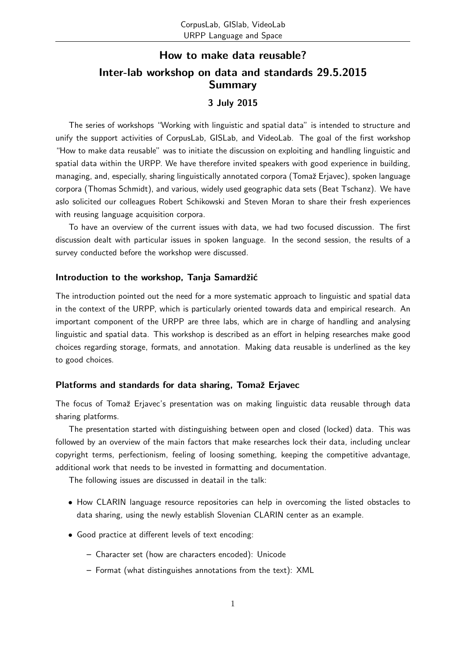# How to make data reusable? Inter-lab workshop on data and standards 29.5.2015 Summary

## 3 July 2015

The series of workshops "Working with linguistic and spatial data" is intended to structure and unify the support activities of CorpusLab, GISLab, and VideoLab. The goal of the first workshop "How to make data reusable" was to initiate the discussion on exploiting and handling linguistic and spatial data within the URPP. We have therefore invited speakers with good experience in building, managing, and, especially, sharing linguistically annotated corpora (Tomaž Erjavec), spoken language corpora (Thomas Schmidt), and various, widely used geographic data sets (Beat Tschanz). We have aslo solicited our colleagues Robert Schikowski and Steven Moran to share their fresh experiences with reusing language acquisition corpora.

To have an overview of the current issues with data, we had two focused discussion. The first discussion dealt with particular issues in spoken language. In the second session, the results of a survey conducted before the workshop were discussed.

#### Introduction to the workshop, Tanja Samardžić

The introduction pointed out the need for a more systematic approach to linguistic and spatial data in the context of the URPP, which is particularly oriented towards data and empirical research. An important component of the URPP are three labs, which are in charge of handling and analysing linguistic and spatial data. This workshop is described as an effort in helping researches make good choices regarding storage, formats, and annotation. Making data reusable is underlined as the key to good choices.

#### Platforms and standards for data sharing, Tomaž Erjavec

The focus of Tomaž Erjavec's presentation was on making linguistic data reusable through data sharing platforms.

The presentation started with distinguishing between open and closed (locked) data. This was followed by an overview of the main factors that make researches lock their data, including unclear copyright terms, perfectionism, feeling of loosing something, keeping the competitive advantage, additional work that needs to be invested in formatting and documentation.

The following issues are discussed in deatail in the talk:

- How CLARIN language resource repositories can help in overcoming the listed obstacles to data sharing, using the newly establish Slovenian CLARIN center as an example.
- Good practice at different levels of text encoding:
	- Character set (how are characters encoded): Unicode
	- Format (what distinguishes annotations from the text): XML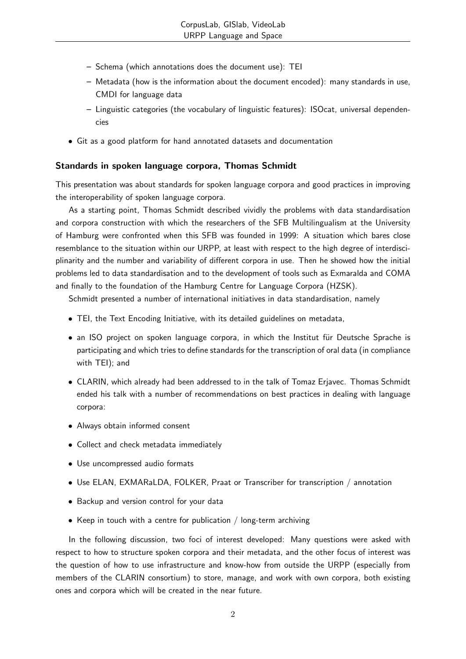- Schema (which annotations does the document use): TEI
- Metadata (how is the information about the document encoded): many standards in use, CMDI for language data
- Linguistic categories (the vocabulary of linguistic features): ISOcat, universal dependencies
- Git as a good platform for hand annotated datasets and documentation

## Standards in spoken language corpora, Thomas Schmidt

This presentation was about standards for spoken language corpora and good practices in improving the interoperability of spoken language corpora.

As a starting point, Thomas Schmidt described vividly the problems with data standardisation and corpora construction with which the researchers of the SFB Multilingualism at the University of Hamburg were confronted when this SFB was founded in 1999: A situation which bares close resemblance to the situation within our URPP, at least with respect to the high degree of interdisciplinarity and the number and variability of different corpora in use. Then he showed how the initial problems led to data standardisation and to the development of tools such as Exmaralda and COMA and finally to the foundation of the Hamburg Centre for Language Corpora (HZSK).

Schmidt presented a number of international initiatives in data standardisation, namely

- TEI, the Text Encoding Initiative, with its detailed guidelines on metadata,
- an ISO project on spoken language corpora, in which the Institut für Deutsche Sprache is participating and which tries to define standards for the transcription of oral data (in compliance with TEI); and
- CLARIN, which already had been addressed to in the talk of Tomaz Erjavec. Thomas Schmidt ended his talk with a number of recommendations on best practices in dealing with language corpora:
- Always obtain informed consent
- Collect and check metadata immediately
- Use uncompressed audio formats
- Use ELAN, EXMARaLDA, FOLKER, Praat or Transcriber for transcription / annotation
- Backup and version control for your data
- Keep in touch with a centre for publication / long-term archiving

In the following discussion, two foci of interest developed: Many questions were asked with respect to how to structure spoken corpora and their metadata, and the other focus of interest was the question of how to use infrastructure and know-how from outside the URPP (especially from members of the CLARIN consortium) to store, manage, and work with own corpora, both existing ones and corpora which will be created in the near future.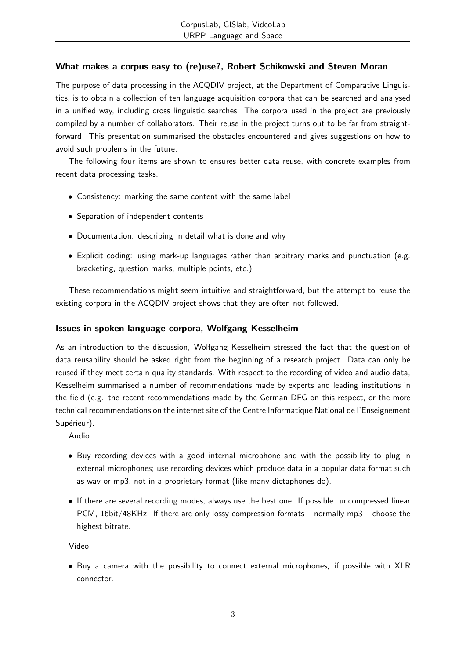## What makes a corpus easy to (re)use?, Robert Schikowski and Steven Moran

The purpose of data processing in the ACQDIV project, at the Department of Comparative Linguistics, is to obtain a collection of ten language acquisition corpora that can be searched and analysed in a unified way, including cross linguistic searches. The corpora used in the project are previously compiled by a number of collaborators. Their reuse in the project turns out to be far from straightforward. This presentation summarised the obstacles encountered and gives suggestions on how to avoid such problems in the future.

The following four items are shown to ensures better data reuse, with concrete examples from recent data processing tasks.

- Consistency: marking the same content with the same label
- Separation of independent contents
- Documentation: describing in detail what is done and why
- Explicit coding: using mark-up languages rather than arbitrary marks and punctuation (e.g. bracketing, question marks, multiple points, etc.)

These recommendations might seem intuitive and straightforward, but the attempt to reuse the existing corpora in the ACQDIV project shows that they are often not followed.

## Issues in spoken language corpora, Wolfgang Kesselheim

As an introduction to the discussion, Wolfgang Kesselheim stressed the fact that the question of data reusability should be asked right from the beginning of a research project. Data can only be reused if they meet certain quality standards. With respect to the recording of video and audio data, Kesselheim summarised a number of recommendations made by experts and leading institutions in the field (e.g. the recent recommendations made by the German DFG on this respect, or the more technical recommendations on the internet site of the Centre Informatique National de l'Enseignement Supérieur).

Audio:

- Buy recording devices with a good internal microphone and with the possibility to plug in external microphones; use recording devices which produce data in a popular data format such as wav or mp3, not in a proprietary format (like many dictaphones do).
- If there are several recording modes, always use the best one. If possible: uncompressed linear PCM, 16bit/48KHz. If there are only lossy compression formats – normally mp3 – choose the highest bitrate.

Video:

• Buy a camera with the possibility to connect external microphones, if possible with XLR connector.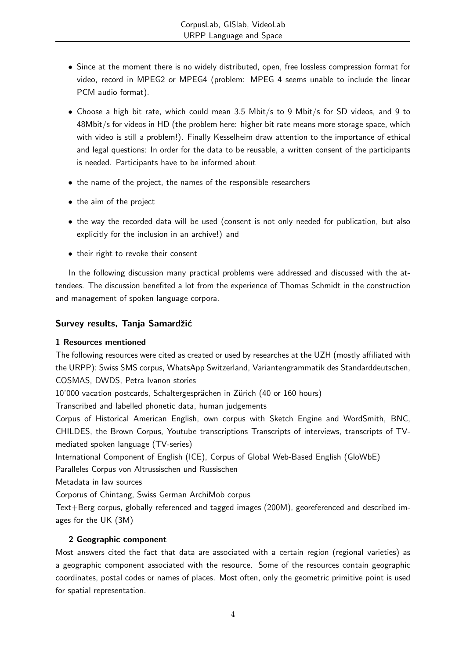- Since at the moment there is no widely distributed, open, free lossless compression format for video, record in MPEG2 or MPEG4 (problem: MPEG 4 seems unable to include the linear PCM audio format).
- Choose a high bit rate, which could mean 3.5 Mbit/s to 9 Mbit/s for SD videos, and 9 to 48Mbit/s for videos in HD (the problem here: higher bit rate means more storage space, which with video is still a problem!). Finally Kesselheim draw attention to the importance of ethical and legal questions: In order for the data to be reusable, a written consent of the participants is needed. Participants have to be informed about
- the name of the project, the names of the responsible researchers
- the aim of the project
- the way the recorded data will be used (consent is not only needed for publication, but also explicitly for the inclusion in an archive!) and
- their right to revoke their consent

In the following discussion many practical problems were addressed and discussed with the attendees. The discussion benefited a lot from the experience of Thomas Schmidt in the construction and management of spoken language corpora.

## Survey results, Tanja Samardžić

#### 1 Resources mentioned

The following resources were cited as created or used by researches at the UZH (mostly affiliated with the URPP): Swiss SMS corpus, WhatsApp Switzerland, Variantengrammatik des Standarddeutschen, COSMAS, DWDS, Petra Ivanon stories

10'000 vacation postcards, Schaltergesprächen in Zürich (40 or 160 hours)

Transcribed and labelled phonetic data, human judgements

Corpus of Historical American English, own corpus with Sketch Engine and WordSmith, BNC, CHILDES, the Brown Corpus, Youtube transcriptions Transcripts of interviews, transcripts of TVmediated spoken language (TV-series)

International Component of English (ICE), Corpus of Global Web-Based English (GloWbE)

Paralleles Corpus von Altrussischen und Russischen

Metadata in law sources

Corporus of Chintang, Swiss German ArchiMob corpus

Text+Berg corpus, globally referenced and tagged images (200M), georeferenced and described images for the UK (3M)

## 2 Geographic component

Most answers cited the fact that data are associated with a certain region (regional varieties) as a geographic component associated with the resource. Some of the resources contain geographic coordinates, postal codes or names of places. Most often, only the geometric primitive point is used for spatial representation.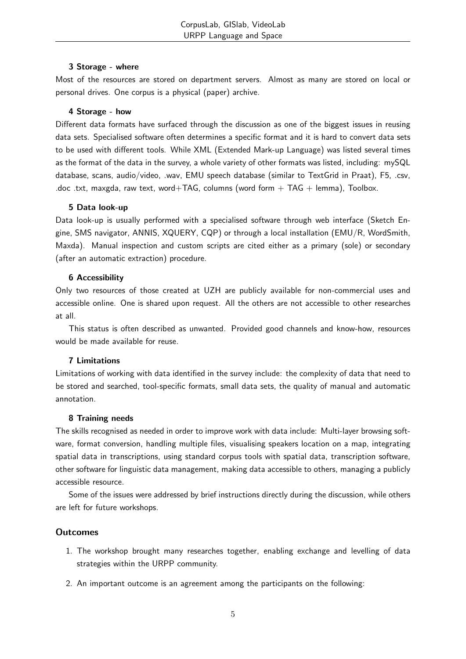#### 3 Storage - where

Most of the resources are stored on department servers. Almost as many are stored on local or personal drives. One corpus is a physical (paper) archive.

#### 4 Storage - how

Different data formats have surfaced through the discussion as one of the biggest issues in reusing data sets. Specialised software often determines a specific format and it is hard to convert data sets to be used with different tools. While XML (Extended Mark-up Language) was listed several times as the format of the data in the survey, a whole variety of other formats was listed, including: mySQL database, scans, audio/video, .wav, EMU speech database (similar to TextGrid in Praat), F5, .csv, .doc .txt, maxgda, raw text, word+TAG, columns (word form  $+$  TAG  $+$  lemma), Toolbox.

#### 5 Data look-up

Data look-up is usually performed with a specialised software through web interface (Sketch Engine, SMS navigator, ANNIS, XQUERY, CQP) or through a local installation (EMU/R, WordSmith, Maxda). Manual inspection and custom scripts are cited either as a primary (sole) or secondary (after an automatic extraction) procedure.

#### 6 Accessibility

Only two resources of those created at UZH are publicly available for non-commercial uses and accessible online. One is shared upon request. All the others are not accessible to other researches at all.

This status is often described as unwanted. Provided good channels and know-how, resources would be made available for reuse.

#### 7 Limitations

Limitations of working with data identified in the survey include: the complexity of data that need to be stored and searched, tool-specific formats, small data sets, the quality of manual and automatic annotation.

#### 8 Training needs

The skills recognised as needed in order to improve work with data include: Multi-layer browsing software, format conversion, handling multiple files, visualising speakers location on a map, integrating spatial data in transcriptions, using standard corpus tools with spatial data, transcription software, other software for linguistic data management, making data accessible to others, managing a publicly accessible resource.

Some of the issues were addressed by brief instructions directly during the discussion, while others are left for future workshops.

#### **Outcomes**

- 1. The workshop brought many researches together, enabling exchange and levelling of data strategies within the URPP community.
- 2. An important outcome is an agreement among the participants on the following: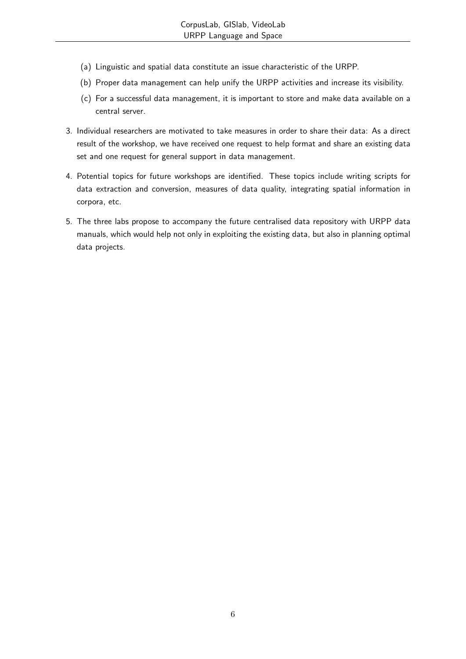- (a) Linguistic and spatial data constitute an issue characteristic of the URPP.
- (b) Proper data management can help unify the URPP activities and increase its visibility.
- (c) For a successful data management, it is important to store and make data available on a central server.
- 3. Individual researchers are motivated to take measures in order to share their data: As a direct result of the workshop, we have received one request to help format and share an existing data set and one request for general support in data management.
- 4. Potential topics for future workshops are identified. These topics include writing scripts for data extraction and conversion, measures of data quality, integrating spatial information in corpora, etc.
- 5. The three labs propose to accompany the future centralised data repository with URPP data manuals, which would help not only in exploiting the existing data, but also in planning optimal data projects.